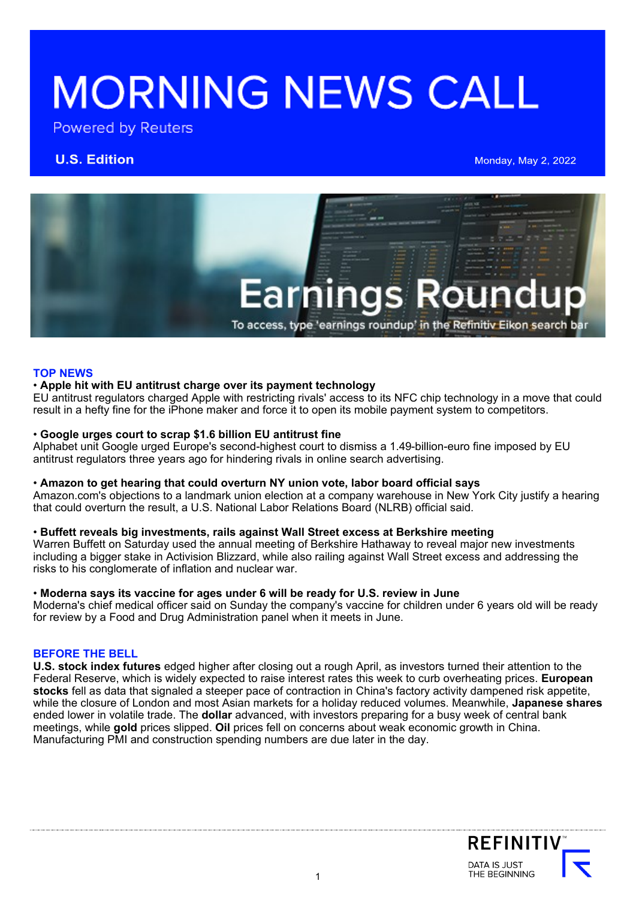# **MORNING NEWS CALL**

Powered by Reuters

**U.S. Edition Manual Account 2008 Manual Account 2008 Monday, May 2, 2022** 



# **TOP NEWS**

# • **Apple hit with EU antitrust charge over its payment technology**

EU antitrust regulators charged Apple with restricting rivals' access to its NFC chip technology in a move that could result in a hefty fine for the iPhone maker and force it to open its mobile payment system to competitors.

# • **Google urges court to scrap \$1.6 billion EU antitrust fine**

Alphabet unit Google urged Europe's second-highest court to dismiss a 1.49-billion-euro fine imposed by EU antitrust regulators three years ago for hindering rivals in online search advertising.

# • **Amazon to get hearing that could overturn NY union vote, labor board official says**

Amazon.com's objections to a landmark union election at a company warehouse in New York City justify a hearing that could overturn the result, a U.S. National Labor Relations Board (NLRB) official said.

# • **Buffett reveals big investments, rails against Wall Street excess at Berkshire meeting**

Warren Buffett on Saturday used the annual meeting of Berkshire Hathaway to reveal major new investments including a bigger stake in Activision Blizzard, while also railing against Wall Street excess and addressing the risks to his conglomerate of inflation and nuclear war.

### • **Moderna says its vaccine for ages under 6 will be ready for U.S. review in June**

Moderna's chief medical officer said on Sunday the company's vaccine for children under 6 years old will be ready for review by a Food and Drug Administration panel when it meets in June.

# **BEFORE THE BELL**

**U.S. stock index futures** edged higher after closing out a rough April, as investors turned their attention to the Federal Reserve, which is widely expected to raise interest rates this week to curb overheating prices. **European stocks** fell as data that signaled a steeper pace of contraction in China's factory activity dampened risk appetite, while the closure of London and most Asian markets for a holiday reduced volumes. Meanwhile, **Japanese shares** ended lower in volatile trade. The **dollar** advanced, with investors preparing for a busy week of central bank meetings, while **gold** prices slipped. **Oil** prices fell on concerns about weak economic growth in China. Manufacturing PMI and construction spending numbers are due later in the day.

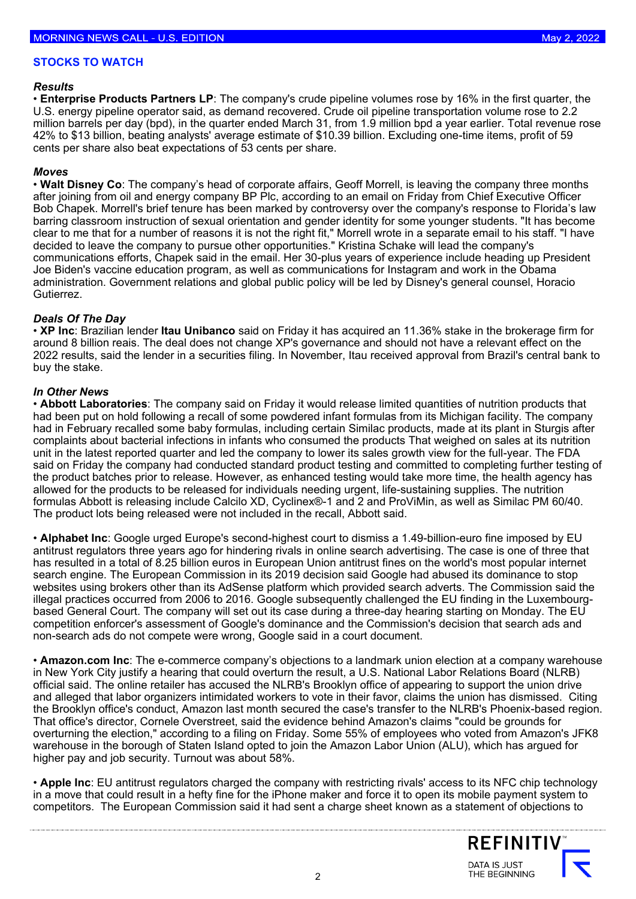#### **STOCKS TO WATCH**

#### *Results*

• **Enterprise Products Partners LP**: The company's crude pipeline volumes rose by 16% in the first quarter, the U.S. energy pipeline operator said, as demand recovered. Crude oil pipeline transportation volume rose to 2.2 million barrels per day (bpd), in the quarter ended March 31, from 1.9 million bpd a year earlier. Total revenue rose 42% to \$13 billion, beating analysts' average estimate of \$10.39 billion. Excluding one-time items, profit of 59 cents per share also beat expectations of 53 cents per share.

#### *Moves*

• **Walt Disney Co**: The company's head of corporate affairs, Geoff Morrell, is leaving the company three months after joining from oil and energy company BP Plc, according to an email on Friday from Chief Executive Officer Bob Chapek. Morrell's brief tenure has been marked by controversy over the company's response to Florida's law barring classroom instruction of sexual orientation and gender identity for some younger students. "It has become clear to me that for a number of reasons it is not the right fit," Morrell wrote in a separate email to his staff. "I have decided to leave the company to pursue other opportunities." Kristina Schake will lead the company's communications efforts, Chapek said in the email. Her 30-plus years of experience include heading up President Joe Biden's vaccine education program, as well as communications for Instagram and work in the Obama administration. Government relations and global public policy will be led by Disney's general counsel, Horacio Gutierrez.

### *Deals Of The Day*

• **XP Inc**: Brazilian lender **Itau Unibanco** said on Friday it has acquired an 11.36% stake in the brokerage firm for around 8 billion reais. The deal does not change XP's governance and should not have a relevant effect on the 2022 results, said the lender in a securities filing. In November, Itau received approval from Brazil's central bank to buy the stake.

# *In Other News*

 unit in the latest reported quarter and led the company to lower its sales growth view for the full-year. The FDA • **Abbott Laboratories**: The company said on Friday it would release limited quantities of nutrition products that had been put on hold following a recall of some powdered infant formulas from its Michigan facility. The company had in February recalled some baby formulas, including certain Similac products, made at its plant in Sturgis after complaints about bacterial infections in infants who consumed the products That weighed on sales at its nutrition said on Friday the company had conducted standard product testing and committed to completing further testing of the product batches prior to release. However, as enhanced testing would take more time, the health agency has allowed for the products to be released for individuals needing urgent, life-sustaining supplies. The nutrition formulas Abbott is releasing include Calcilo XD, Cyclinex®-1 and 2 and ProViMin, as well as Similac PM 60/40. The product lots being released were not included in the recall, Abbott said.

• **Alphabet Inc**: Google urged Europe's second-highest court to dismiss a 1.49-billion-euro fine imposed by EU antitrust regulators three years ago for hindering rivals in online search advertising. The case is one of three that has resulted in a total of 8.25 billion euros in European Union antitrust fines on the world's most popular internet search engine. The European Commission in its 2019 decision said Google had abused its dominance to stop websites using brokers other than its AdSense platform which provided search adverts. The Commission said the illegal practices occurred from 2006 to 2016. Google subsequently challenged the EU finding in the Luxembourgbased General Court. The company will set out its case during a three-day hearing starting on Monday. The EU competition enforcer's assessment of Google's dominance and the Commission's decision that search ads and non-search ads do not compete were wrong, Google said in a court document.

• **[Amazon.com](https://Amazon.com) Inc**: The e-commerce company's objections to a landmark union election at a company warehouse in New York City justify a hearing that could overturn the result, a U.S. National Labor Relations Board (NLRB) official said. The online retailer has accused the NLRB's Brooklyn office of appearing to support the union drive and alleged that labor organizers intimidated workers to vote in their favor, claims the union has dismissed. Citing the Brooklyn office's conduct, Amazon last month secured the case's transfer to the NLRB's Phoenix-based region. That office's director, Cornele Overstreet, said the evidence behind Amazon's claims "could be grounds for overturning the election," according to a filing on Friday. Some 55% of employees who voted from Amazon's JFK8 warehouse in the borough of Staten Island opted to join the Amazon Labor Union (ALU), which has argued for higher pay and job security. Turnout was about 58%.

• **Apple Inc**: EU antitrust regulators charged the company with restricting rivals' access to its NFC chip technology in a move that could result in a hefty fine for the iPhone maker and force it to open its mobile payment system to competitors. The European Commission said it had sent a charge sheet known as a statement of objections to

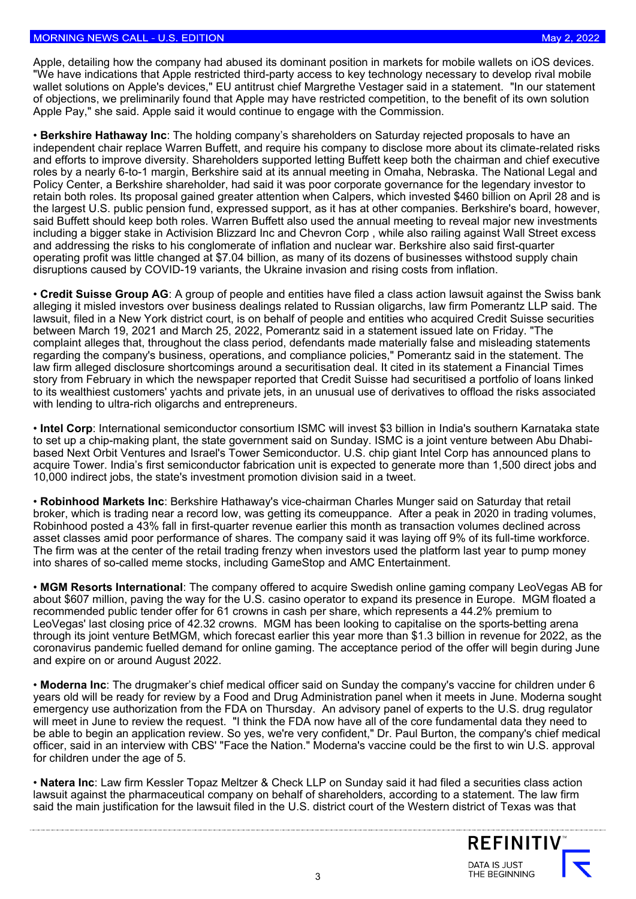Apple, detailing how the company had abused its dominant position in markets for mobile wallets on iOS devices. "We have indications that Apple restricted third-party access to key technology necessary to develop rival mobile wallet solutions on Apple's devices," EU antitrust chief Margrethe Vestager said in a statement. "In our statement of objections, we preliminarily found that Apple may have restricted competition, to the benefit of its own solution Apple Pay," she said. Apple said it would continue to engage with the Commission.

• **Berkshire Hathaway Inc**: The holding company's shareholders on Saturday rejected proposals to have an independent chair replace Warren Buffett, and require his company to disclose more about its climate-related risks and efforts to improve diversity. Shareholders supported letting Buffett keep both the chairman and chief executive roles by a nearly 6-to-1 margin, Berkshire said at its annual meeting in Omaha, Nebraska. The National Legal and Policy Center, a Berkshire shareholder, had said it was poor corporate governance for the legendary investor to retain both roles. Its proposal gained greater attention when Calpers, which invested \$460 billion on April 28 and is the largest U.S. public pension fund, expressed support, as it has at other companies. Berkshire's board, however, said Buffett should keep both roles. Warren Buffett also used the annual meeting to reveal major new investments including a bigger stake in Activision Blizzard Inc and Chevron Corp , while also railing against Wall Street excess and addressing the risks to his conglomerate of inflation and nuclear war. Berkshire also said first-quarter operating profit was little changed at \$7.04 billion, as many of its dozens of businesses withstood supply chain disruptions caused by COVID-19 variants, the Ukraine invasion and rising costs from inflation.

• **Credit Suisse Group AG**: A group of people and entities have filed a class action lawsuit against the Swiss bank alleging it misled investors over business dealings related to Russian oligarchs, law firm Pomerantz LLP said. The lawsuit, filed in a New York district court, is on behalf of people and entities who acquired Credit Suisse securities between March 19, 2021 and March 25, 2022, Pomerantz said in a statement issued late on Friday. "The complaint alleges that, throughout the class period, defendants made materially false and misleading statements regarding the company's business, operations, and compliance policies," Pomerantz said in the statement. The law firm alleged disclosure shortcomings around a securitisation deal. It cited in its statement a Financial Times story from February in which the newspaper reported that Credit Suisse had securitised a portfolio of loans linked to its wealthiest customers' yachts and private jets, in an unusual use of derivatives to offload the risks associated with lending to ultra-rich oligarchs and entrepreneurs.

• **Intel Corp**: International semiconductor consortium ISMC will invest \$3 billion in India's southern Karnataka state to set up a chip-making plant, the state government said on Sunday. ISMC is a joint venture between Abu Dhabibased Next Orbit Ventures and Israel's Tower Semiconductor. U.S. chip giant Intel Corp has announced plans to acquire Tower. India's first semiconductor fabrication unit is expected to generate more than 1,500 direct jobs and 10,000 indirect jobs, the state's investment promotion division said in a tweet.

• **Robinhood Markets Inc**: Berkshire Hathaway's vice-chairman Charles Munger said on Saturday that retail broker, which is trading near a record low, was getting its comeuppance. After a peak in 2020 in trading volumes, Robinhood posted a 43% fall in first-quarter revenue earlier this month as transaction volumes declined across asset classes amid poor performance of shares. The company said it was laying off 9% of its full-time workforce. The firm was at the center of the retail trading frenzy when investors used the platform last year to pump money into shares of so-called meme stocks, including GameStop and AMC Entertainment.

• **MGM Resorts International**: The company offered to acquire Swedish online gaming company LeoVegas AB for about \$607 million, paving the way for the U.S. casino operator to expand its presence in Europe. MGM floated a recommended public tender offer for 61 crowns in cash per share, which represents a 44.2% premium to LeoVegas' last closing price of 42.32 crowns. MGM has been looking to capitalise on the sports-betting arena through its joint venture BetMGM, which forecast earlier this year more than \$1.3 billion in revenue for 2022, as the coronavirus pandemic fuelled demand for online gaming. The acceptance period of the offer will begin during June and expire on or around August 2022.

• **Moderna Inc**: The drugmaker's chief medical officer said on Sunday the company's vaccine for children under 6 years old will be ready for review by a Food and Drug Administration panel when it meets in June. Moderna sought emergency use authorization from the FDA on Thursday. An advisory panel of experts to the U.S. drug regulator will meet in June to review the request. "I think the FDA now have all of the core fundamental data they need to be able to begin an application review. So yes, we're very confident," Dr. Paul Burton, the company's chief medical officer, said in an interview with CBS' "Face the Nation." Moderna's vaccine could be the first to win U.S. approval for children under the age of 5.

• **Natera Inc**: Law firm Kessler Topaz Meltzer & Check LLP on Sunday said it had filed a securities class action lawsuit against the pharmaceutical company on behalf of shareholders, according to a statement. The law firm said the main justification for the lawsuit filed in the U.S. district court of the Western district of Texas was that

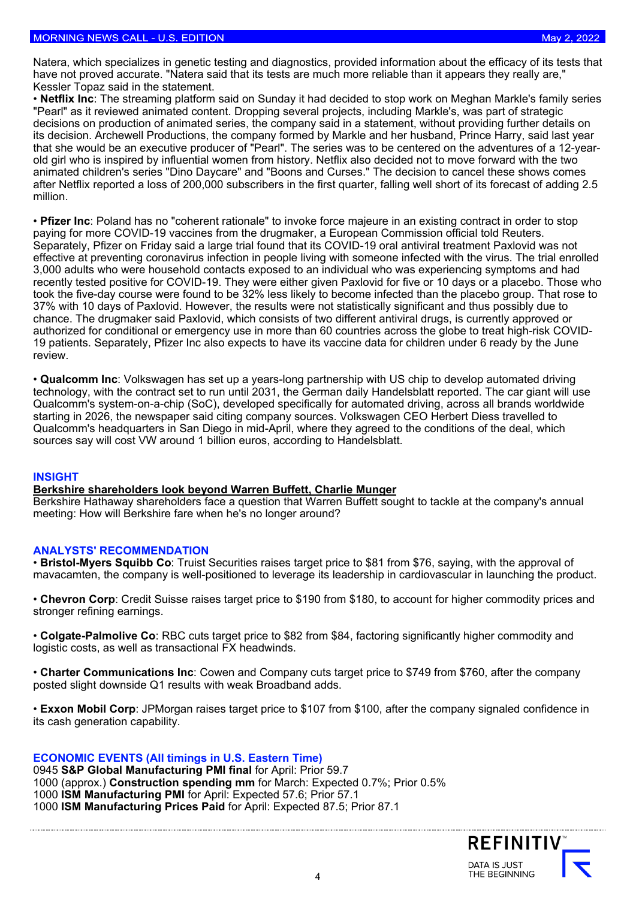Natera, which specializes in genetic testing and diagnostics, provided information about the efficacy of its tests that have not proved accurate. "Natera said that its tests are much more reliable than it appears they really are," Kessler Topaz said in the statement.

 million. • **Netflix Inc**: The streaming platform said on Sunday it had decided to stop work on Meghan Markle's family series "Pearl" as it reviewed animated content. Dropping several projects, including Markle's, was part of strategic decisions on production of animated series, the company said in a statement, without providing further details on its decision. Archewell Productions, the company formed by Markle and her husband, Prince Harry, said last year that she would be an executive producer of "Pearl". The series was to be centered on the adventures of a 12-yearold girl who is inspired by influential women from history. Netflix also decided not to move forward with the two animated children's series "Dino Daycare" and "Boons and Curses." The decision to cancel these shows comes after Netflix reported a loss of 200,000 subscribers in the first quarter, falling well short of its forecast of adding 2.5

• **Pfizer Inc**: Poland has no "coherent rationale" to invoke force majeure in an existing contract in order to stop paying for more COVID-19 vaccines from the drugmaker, a European Commission official told Reuters. Separately, Pfizer on Friday said a large trial found that its COVID-19 oral antiviral treatment Paxlovid was not effective at preventing coronavirus infection in people living with someone infected with the virus. The trial enrolled 3,000 adults who were household contacts exposed to an individual who was experiencing symptoms and had recently tested positive for COVID-19. They were either given Paxlovid for five or 10 days or a placebo. Those who took the five-day course were found to be 32% less likely to become infected than the placebo group. That rose to 37% with 10 days of Paxlovid. However, the results were not statistically significant and thus possibly due to chance. The drugmaker said Paxlovid, which consists of two different antiviral drugs, is currently approved or authorized for conditional or emergency use in more than 60 countries across the globe to treat high-risk COVID-19 patients. Separately, Pfizer Inc also expects to have its vaccine data for children under 6 ready by the June review.

• **Qualcomm Inc**: Volkswagen has set up a years-long partnership with US chip to develop automated driving technology, with the contract set to run until 2031, the German daily Handelsblatt reported. The car giant will use Qualcomm's system-on-a-chip (SoC), developed specifically for automated driving, across all brands worldwide starting in 2026, the newspaper said citing company sources. Volkswagen CEO Herbert Diess travelled to Qualcomm's headquarters in San Diego in mid-April, where they agreed to the conditions of the deal, which sources say will cost VW around 1 billion euros, according to Handelsblatt.

#### **INSIGHT**

### **[Berkshire shareholders look beyond Warren Buffett, Charlie Munger](https://www.reuters.com/business/berkshire-shareholders-look-beyond-warren-buffett-charlie-munger-2022-05-02/)**

Berkshire Hathaway shareholders face a question that Warren Buffett sought to tackle at the company's annual meeting: How will Berkshire fare when he's no longer around?

### **ANALYSTS' RECOMMENDATION**

• **Bristol-Myers Squibb Co**: Truist Securities raises target price to \$81 from \$76, saying, with the approval of mavacamten, the company is well-positioned to leverage its leadership in cardiovascular in launching the product.

• **Chevron Corp**: Credit Suisse raises target price to \$190 from \$180, to account for higher commodity prices and stronger refining earnings.

• **Colgate-Palmolive Co**: RBC cuts target price to \$82 from \$84, factoring significantly higher commodity and logistic costs, as well as transactional FX headwinds.

• **Charter Communications Inc**: Cowen and Company cuts target price to \$749 from \$760, after the company posted slight downside Q1 results with weak Broadband adds.

• **Exxon Mobil Corp**: JPMorgan raises target price to \$107 from \$100, after the company signaled confidence in its cash generation capability.

# **ECONOMIC EVENTS (All timings in U.S. Eastern Time)**

**S&P Global Manufacturing PMI final** for April: Prior 59.7 1000 (approx.) **Construction spending mm** for March: Expected 0.7%; Prior 0.5% **ISM Manufacturing PMI** for April: Expected 57.6; Prior 57.1 **ISM Manufacturing Prices Paid** for April: Expected 87.5; Prior 87.1

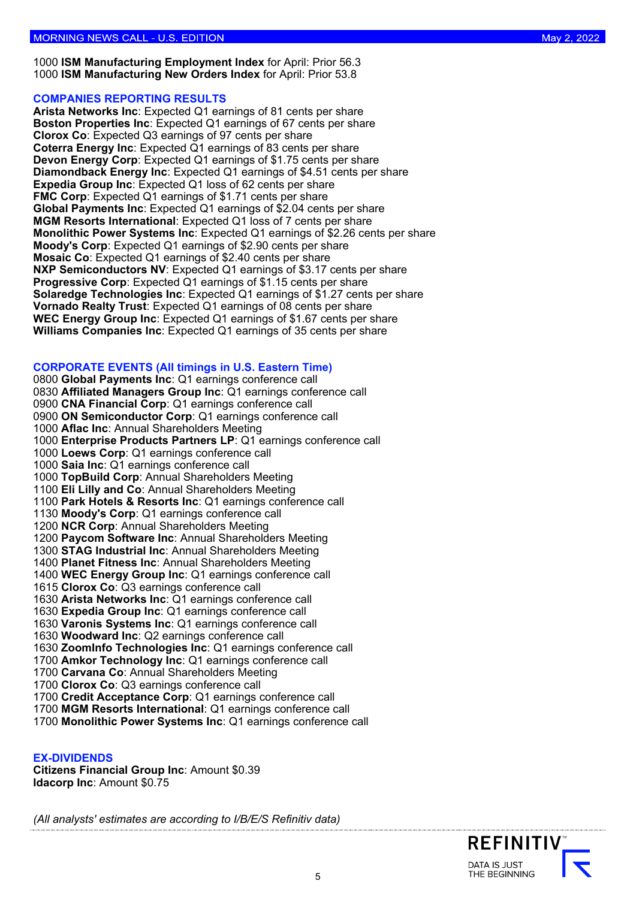1000 **ISM Manufacturing Employment Index** for April: Prior 56.3 1000 **ISM Manufacturing New Orders Index** for April: Prior 53.8

### **COMPANIES REPORTING RESULTS**

**Arista Networks Inc**: Expected Q1 earnings of 81 cents per share **Boston Properties Inc**: Expected Q1 earnings of 67 cents per share **Clorox Co**: Expected Q3 earnings of 97 cents per share **Coterra Energy Inc**: Expected Q1 earnings of 83 cents per share **Devon Energy Corp**: Expected Q1 earnings of \$1.75 cents per share **Diamondback Energy Inc**: Expected Q1 earnings of \$4.51 cents per share **Expedia Group Inc**: Expected Q1 loss of 62 cents per share **FMC Corp:** Expected Q1 earnings of \$1.71 cents per share **Global Payments Inc**: Expected Q1 earnings of \$2.04 cents per share **MGM Resorts International**: Expected Q1 loss of 7 cents per share **Monolithic Power Systems Inc**: Expected Q1 earnings of \$2.26 cents per share **Moody's Corp**: Expected Q1 earnings of \$2.90 cents per share **Mosaic Co**: Expected Q1 earnings of \$2.40 cents per share **NXP Semiconductors NV**: Expected Q1 earnings of \$3.17 cents per share **Progressive Corp**: Expected Q1 earnings of \$1.15 cents per share **Solaredge Technologies Inc**: Expected Q1 earnings of \$1.27 cents per share **Vornado Realty Trust**: Expected Q1 earnings of 08 cents per share **WEC Energy Group Inc**: Expected Q1 earnings of \$1.67 cents per share **Williams Companies Inc**: Expected Q1 earnings of 35 cents per share

# **CORPORATE EVENTS (All timings in U.S. Eastern Time)**

**Global Payments Inc**: Q1 earnings conference call **Affiliated Managers Group Inc**: Q1 earnings conference call **CNA Financial Corp**: Q1 earnings conference call **ON Semiconductor Corp**: Q1 earnings conference call **Aflac Inc**: Annual Shareholders Meeting **Enterprise Products Partners LP**: Q1 earnings conference call **Loews Corp**: Q1 earnings conference call **Saia Inc**: Q1 earnings conference call **TopBuild Corp**: Annual Shareholders Meeting **Eli Lilly and Co**: Annual Shareholders Meeting **Park Hotels & Resorts Inc**: Q1 earnings conference call **Moody's Corp**: Q1 earnings conference call **NCR Corp**: Annual Shareholders Meeting **Paycom Software Inc**: Annual Shareholders Meeting **STAG Industrial Inc**: Annual Shareholders Meeting **Planet Fitness Inc**: Annual Shareholders Meeting **WEC Energy Group Inc**: Q1 earnings conference call **Clorox Co**: Q3 earnings conference call **Arista Networks Inc**: Q1 earnings conference call **Expedia Group Inc**: Q1 earnings conference call **Varonis Systems Inc**: Q1 earnings conference call **Woodward Inc**: Q2 earnings conference call **ZoomInfo Technologies Inc**: Q1 earnings conference call **Amkor Technology Inc**: Q1 earnings conference call **Carvana Co**: Annual Shareholders Meeting **Clorox Co**: Q3 earnings conference call **Credit Acceptance Corp**: Q1 earnings conference call **MGM Resorts International**: Q1 earnings conference call

1700 **Monolithic Power Systems Inc**: Q1 earnings conference call

### **EX-DIVIDENDS**

**Citizens Financial Group Inc**: Amount \$0.39 **Idacorp Inc**: Amount \$0.75

*(All analysts' estimates are according to I/B/E/S Refinitiv data)*